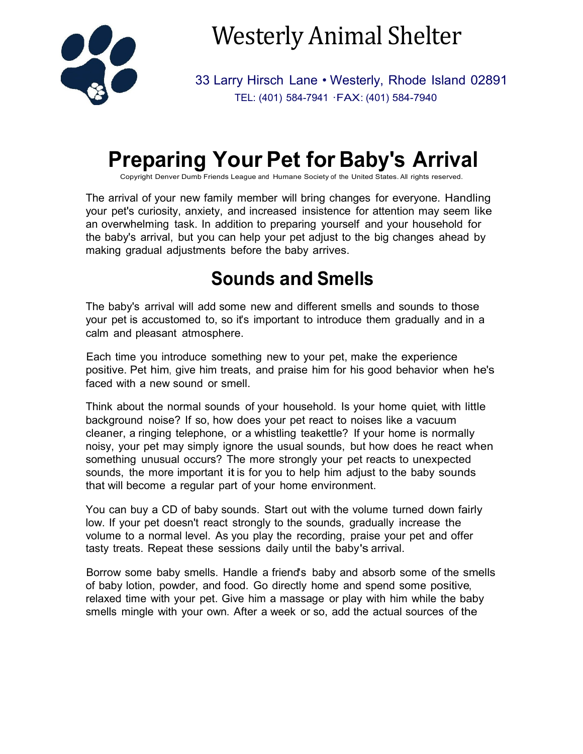

Westerly Animal Shelter

33 Larry Hirsch Lane • Westerly, Rhode Island 02891 TEL: (401) 584-7941 ·FAX: (401) 584-7940

# **Preparing Your Pet for Baby's Arrival**

Copyright Denver Dumb Friends League and Humane Society of the United States. All rights reserved.

The arrival of your new family member will bring changes for everyone. Handling your pet's curiosity, anxiety, and increased insistence for attention may seem like an overwhelming task. In addition to preparing yourself and your household for the baby's arrival, but you can help your pet adjust to the big changes ahead by making gradual adjustments before the baby arrives.

## **Sounds and Smells**

The baby's arrival will add some new and different smells and sounds to those your pet is accustomed to, so it's important to introduce them gradually and in a calm and pleasant atmosphere.

Each time you introduce something new to your pet, make the experience positive. Pet him, give him treats, and praise him for his good behavior when he's faced with a new sound or smell.

Think about the normal sounds of your household. Is your home quiet, with little background noise? If so, how does your pet react to noises like a vacuum cleaner, a ringing telephone, or a whistling teakettle? If your home is normally noisy, your pet may simply ignore the usual sounds, but how does he react when something unusual occurs? The more strongly your pet reacts to unexpected sounds, the more important it is for you to help him adjust to the baby sounds that will become a regular part of your home environment.

You can buy a CD of baby sounds. Start out with the volume turned down fairly low. If your pet doesn't react strongly to the sounds, gradually increase the volume to a normal level. As you play the recording, praise your pet and offer tasty treats. Repeat these sessions daily until the baby's arrival.

Borrow some baby smells. Handle a friend's baby and absorb some of the smells of baby lotion, powder, and food. Go directly home and spend some positive, relaxed time with your pet. Give him a massage or play with him while the baby smells mingle with your own. After a week or so, add the actual sources of the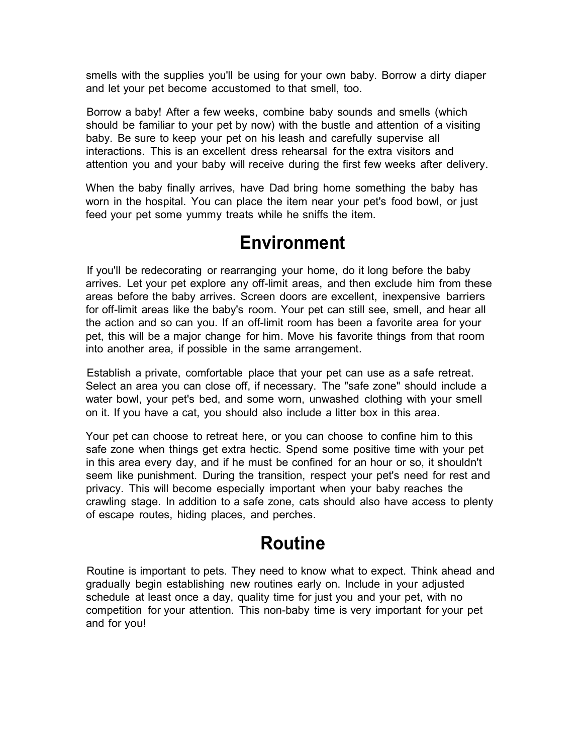smells with the supplies you'll be using for your own baby. Borrow a dirty diaper and let your pet become accustomed to that smell, too.

Borrow a baby! After a few weeks, combine baby sounds and smells (which should be familiar to your pet by now) with the bustle and attention of a visiting baby. Be sure to keep your pet on his leash and carefully supervise all interactions. This is an excellent dress rehearsal for the extra visitors and attention you and your baby will receive during the first few weeks after delivery.

When the baby finally arrives, have Dad bring home something the baby has worn in the hospital. You can place the item near your pet's food bowl, or just feed your pet some yummy treats while he sniffs the item.

#### **Environment**

If you'll be redecorating or rearranging your home, do it long before the baby arrives. Let your pet explore any off-limit areas, and then exclude him from these areas before the baby arrives. Screen doors are excellent, inexpensive barriers for off-limit areas like the baby's room. Your pet can still see, smell, and hear all the action and so can you. If an off-limit room has been a favorite area for your pet, this will be a major change for him. Move his favorite things from that room into another area, if possible in the same arrangement.

Establish a private, comfortable place that your pet can use as a safe retreat. Select an area you can close off, if necessary. The "safe zone" should include a water bowl, your pet's bed, and some worn, unwashed clothing with your smell on it. If you have a cat, you should also include a litter box in this area.

Your pet can choose to retreat here, or you can choose to confine him to this safe zone when things get extra hectic. Spend some positive time with your pet in this area every day, and if he must be confined for an hour or so, it shouldn't seem like punishment. During the transition, respect your pet's need for rest and privacy. This will become especially important when your baby reaches the crawling stage. In addition to a safe zone, cats should also have access to plenty of escape routes, hiding places, and perches.

### **Routine**

Routine is important to pets. They need to know what to expect. Think ahead and gradually begin establishing new routines early on. Include in your adjusted schedule at least once a day, quality time for just you and your pet, with no competition for your attention. This non-baby time is very important for your pet and for you!